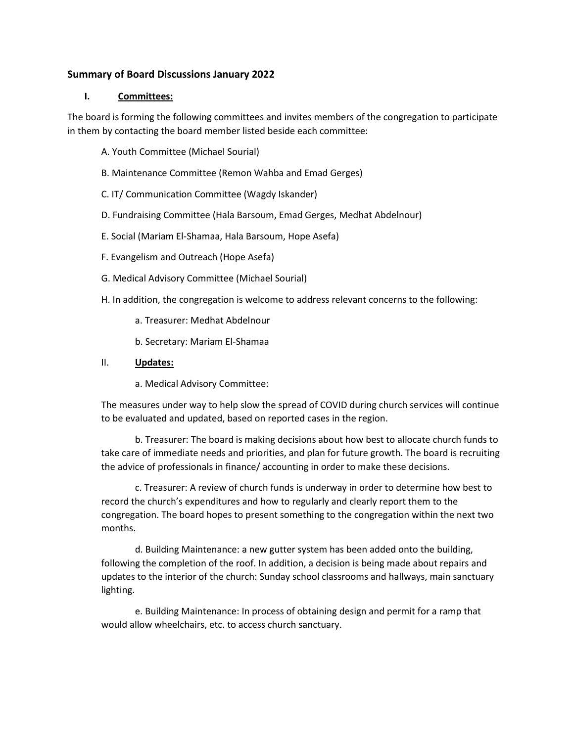## **Summary of Board Discussions January 2022**

#### **I. Committees:**

The board is forming the following committees and invites members of the congregation to participate in them by contacting the board member listed beside each committee:

- A. Youth Committee (Michael Sourial)
- B. Maintenance Committee (Remon Wahba and Emad Gerges)
- C. IT/ Communication Committee (Wagdy Iskander)
- D. Fundraising Committee (Hala Barsoum, Emad Gerges, Medhat Abdelnour)
- E. Social (Mariam El-Shamaa, Hala Barsoum, Hope Asefa)
- F. Evangelism and Outreach (Hope Asefa)
- G. Medical Advisory Committee (Michael Sourial)
- H. In addition, the congregation is welcome to address relevant concerns to the following:
	- a. Treasurer: Medhat Abdelnour
	- b. Secretary: Mariam El-Shamaa

### II. **Updates:**

a. Medical Advisory Committee:

The measures under way to help slow the spread of COVID during church services will continue to be evaluated and updated, based on reported cases in the region.

b. Treasurer: The board is making decisions about how best to allocate church funds to take care of immediate needs and priorities, and plan for future growth. The board is recruiting the advice of professionals in finance/ accounting in order to make these decisions.

c. Treasurer: A review of church funds is underway in order to determine how best to record the church's expenditures and how to regularly and clearly report them to the congregation. The board hopes to present something to the congregation within the next two months.

d. Building Maintenance: a new gutter system has been added onto the building, following the completion of the roof. In addition, a decision is being made about repairs and updates to the interior of the church: Sunday school classrooms and hallways, main sanctuary lighting.

e. Building Maintenance: In process of obtaining design and permit for a ramp that would allow wheelchairs, etc. to access church sanctuary.